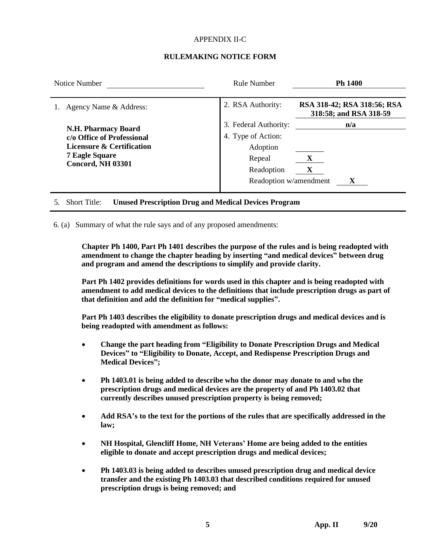# APPENDIX II-C

# **RULEMAKING NOTICE FORM**

| Notice Number                                                                                                                              | Rule Number                                                                                               | <b>Ph 1400</b>                                        |
|--------------------------------------------------------------------------------------------------------------------------------------------|-----------------------------------------------------------------------------------------------------------|-------------------------------------------------------|
| Agency Name & Address:                                                                                                                     | 2. RSA Authority:                                                                                         | RSA 318-42; RSA 318:56; RSA<br>318:58; and RSA 318-59 |
| <b>N.H. Pharmacy Board</b><br>c/o Office of Professional<br>Licensure & Certification<br><b>7 Eagle Square</b><br><b>Concord, NH 03301</b> | 3. Federal Authority:<br>4. Type of Action:<br>Adoption<br>Repeal<br>Readoption<br>Readoption w/amendment | n/a<br>X<br>X<br>X                                    |

5. Short Title: **Unused Prescription Drug and Medical Devices Program**

6. (a) Summary of what the rule says and of any proposed amendments:

**Chapter Ph 1400, Part Ph 1401 describes the purpose of the rules and is being readopted with amendment to change the chapter heading by inserting "and medical devices" between drug and program and amend the descriptions to simplify and provide clarity.**

**Part Ph 1402 provides definitions for words used in this chapter and is being readopted with amendment to add medical devices to the definitions that include prescription drugs as part of that definition and add the definition for "medical supplies".**

**Part Ph 1403 describes the eligibility to donate prescription drugs and medical devices and is being readopted with amendment as follows:**

- **Change the part heading from "Eligibility to Donate Prescription Drugs and Medical Devices" to "Eligibility to Donate, Accept, and Redispense Prescription Drugs and Medical Devices";**
- **Ph 1403.01 is being added to describe who the donor may donate to and who the prescription drugs and medical devices are the property of and Ph 1403.02 that currently describes unused prescription property is being removed;**
- **Add RSA's to the text for the portions of the rules that are specifically addressed in the law;**
- **NH Hospital, Glencliff Home, NH Veterans' Home are being added to the entities eligible to donate and accept prescription drugs and medical devices;**
- **Ph 1403.03 is being added to describes unused prescription drug and medical device transfer and the existing Ph 1403.03 that described conditions required for unused prescription drugs is being removed; and**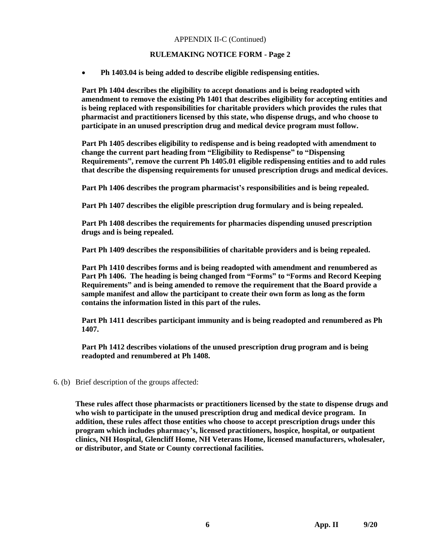# APPENDIX II-C (Continued)

# **RULEMAKING NOTICE FORM - Page 2**

• **Ph 1403.04 is being added to describe eligible redispensing entities.**

**Part Ph 1404 describes the eligibility to accept donations and is being readopted with amendment to remove the existing Ph 1401 that describes eligibility for accepting entities and is being replaced with responsibilities for charitable providers which provides the rules that pharmacist and practitioners licensed by this state, who dispense drugs, and who choose to participate in an unused prescription drug and medical device program must follow.**

**Part Ph 1405 describes eligibility to redispense and is being readopted with amendment to change the current part heading from "Eligibility to Redispense" to "Dispensing Requirements", remove the current Ph 1405.01 eligible redispensing entities and to add rules that describe the dispensing requirements for unused prescription drugs and medical devices.**

**Part Ph 1406 describes the program pharmacist's responsibilities and is being repealed.**

**Part Ph 1407 describes the eligible prescription drug formulary and is being repealed.**

**Part Ph 1408 describes the requirements for pharmacies dispending unused prescription drugs and is being repealed.**

**Part Ph 1409 describes the responsibilities of charitable providers and is being repealed.**

**Part Ph 1410 describes forms and is being readopted with amendment and renumbered as Part Ph 1406. The heading is being changed from "Forms" to "Forms and Record Keeping Requirements" and is being amended to remove the requirement that the Board provide a sample manifest and allow the participant to create their own form as long as the form contains the information listed in this part of the rules.**

**Part Ph 1411 describes participant immunity and is being readopted and renumbered as Ph 1407.**

**Part Ph 1412 describes violations of the unused prescription drug program and is being readopted and renumbered at Ph 1408.**

6. (b) Brief description of the groups affected:

**These rules affect those pharmacists or practitioners licensed by the state to dispense drugs and who wish to participate in the unused prescription drug and medical device program. In addition, these rules affect those entities who choose to accept prescription drugs under this program which includes pharmacy's, licensed practitioners, hospice, hospital, or outpatient clinics, NH Hospital, Glencliff Home, NH Veterans Home, licensed manufacturers, wholesaler, or distributor, and State or County correctional facilities.**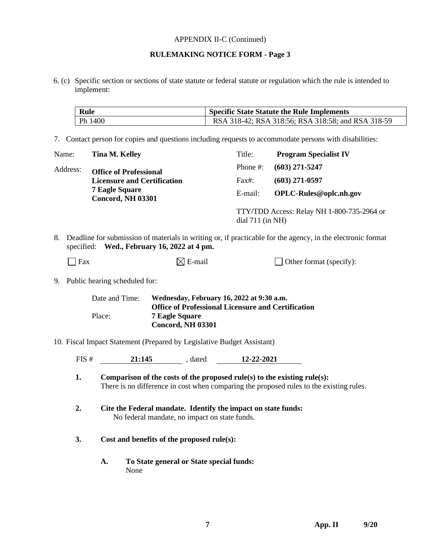#### APPENDIX II-C (Continued)

# **RULEMAKING NOTICE FORM - Page 3**

6. (c) Specific section or sections of state statute or federal statute or regulation which the rule is intended to implement:

| Rule    | <b>Specific State Statute the Rule Implements</b>  |  |
|---------|----------------------------------------------------|--|
| Ph 1400 | RSA 318-42; RSA 318:56; RSA 318:58; and RSA 318-59 |  |

7. Contact person for copies and questions including requests to accommodate persons with disabilities:

| Name:    | Tina M. Kelley                                    | Title:      | <b>Program Specialist IV</b>                                     |  |
|----------|---------------------------------------------------|-------------|------------------------------------------------------------------|--|
| Address: | <b>Office of Professional</b>                     | Phone $#$ : | $(603)$ 271-5247                                                 |  |
|          | <b>Licensure and Certification</b>                | Fax#:       | $(603)$ 271-0597                                                 |  |
|          | <b>7 Eagle Square</b><br><b>Concord, NH 03301</b> | E-mail:     | OPLC-Rules@oplc.nh.gov                                           |  |
|          |                                                   |             | TTY/TDD Access: Relay NH 1-800-735-2964 or<br>$dial 711$ (in NH) |  |

8. Deadline for submission of materials in writing or, if practicable for the agency, in the electronic format specified: **Wed., February 16, 2022 at 4 pm.**

| $\Box$ Fax | $\boxtimes$ E-mail | Other format (specify): |
|------------|--------------------|-------------------------|
|------------|--------------------|-------------------------|

9. Public hearing scheduled for:

| Date and Time: | Wednesday, February 16, 2022 at 9:30 a.m.                 |
|----------------|-----------------------------------------------------------|
|                | <b>Office of Professional Licensure and Certification</b> |
| Place:         | <b>7 Eagle Square</b>                                     |
|                | <b>Concord, NH 03301</b>                                  |

10. Fiscal Impact Statement (Prepared by Legislative Budget Assistant)

| FIS # | 21:145<br>$\sim$ $\sim$ $\sim$ $\sim$ | dated | 12-22-2021 |
|-------|---------------------------------------|-------|------------|
|-------|---------------------------------------|-------|------------|

- **1. Comparison of the costs of the proposed rule(s) to the existing rule(s):** There is no difference in cost when comparing the proposed rules to the existing rules.
- **2. Cite the Federal mandate. Identify the impact on state funds:** No federal mandate, no impact on state funds.
- **3. Cost and benefits of the proposed rule(s):**
	- **A. To State general or State special funds:** None